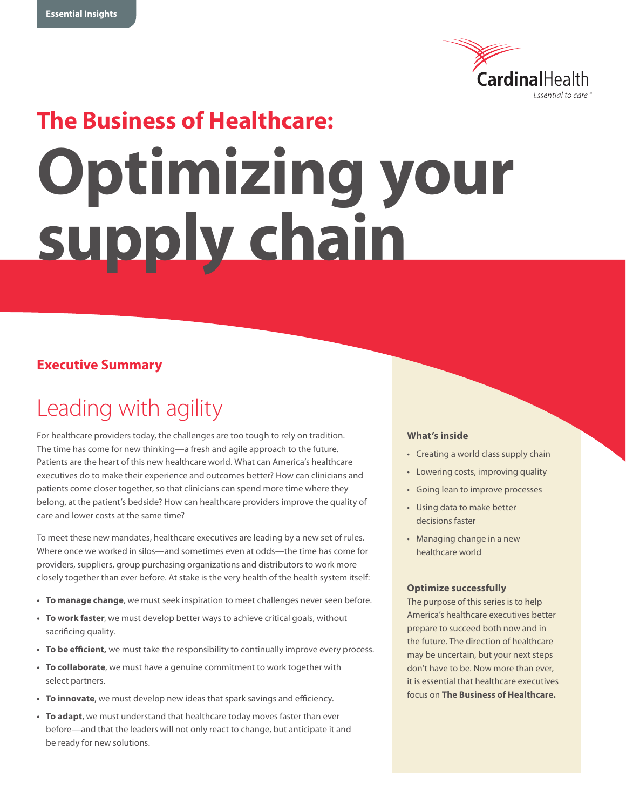

# **The Business of Healthcare: Optimizing your supply chain**

## **Executive Summary**

## Leading with agility

For healthcare providers today, the challenges are too tough to rely on tradition. The time has come for new thinking—a fresh and agile approach to the future. Patients are the heart of this new healthcare world. What can America's healthcare executives do to make their experience and outcomes better? How can clinicians and patients come closer together, so that clinicians can spend more time where they belong, at the patient's bedside? How can healthcare providers improve the quality of care and lower costs at the same time?

To meet these new mandates, healthcare executives are leading by a new set of rules. Where once we worked in silos—and sometimes even at odds—the time has come for providers, suppliers, group purchasing organizations and distributors to work more closely together than ever before. At stake is the very health of the health system itself:

- **To manage change**, we must seek inspiration to meet challenges never seen before.
- **To work faster**, we must develop better ways to achieve critical goals, without sacrificing quality.
- **• To be efficient,** we must take the responsibility to continually improve every process.
- **• To collaborate**, we must have a genuine commitment to work together with select partners.
- **• To innovate**, we must develop new ideas that spark savings and efficiency.
- **To adapt**, we must understand that healthcare today moves faster than ever before—and that the leaders will not only react to change, but anticipate it and be ready for new solutions.

#### **What's inside**

- Creating a world class supply chain
- Lowering costs, improving quality
- Going lean to improve processes
- • Using data to make better decisions faster
- Managing change in a new healthcare world

#### **Optimize successfully**

The purpose of this series is to help America's healthcare executives better prepare to succeed both now and in the future. The direction of healthcare may be uncertain, but your next steps don't have to be. Now more than ever, it is essential that healthcare executives focus on **The Business of Healthcare.**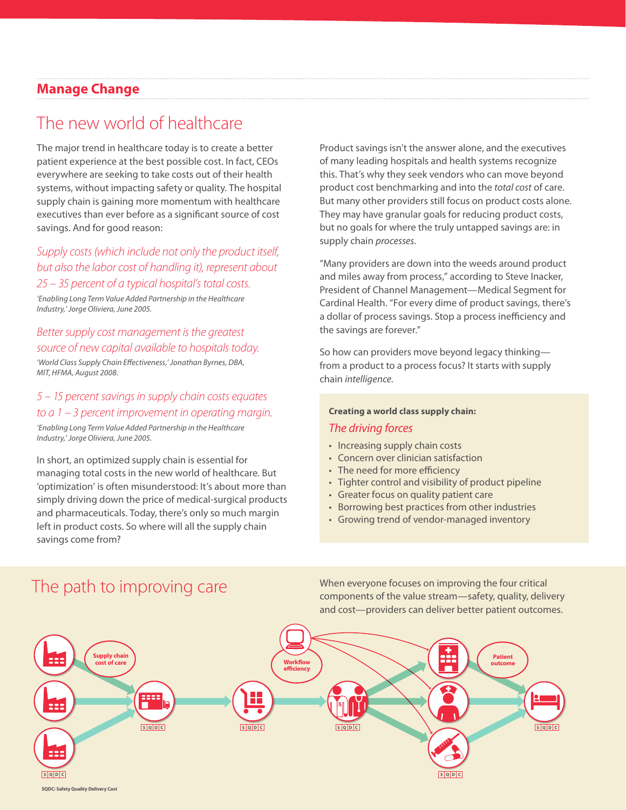## **Manage Change**

## The new world of healthcare

The major trend in healthcare today is to create a better patient experience at the best possible cost. In fact, CEOs everywhere are seeking to take costs out of their health systems, without impacting safety or quality. The hospital supply chain is gaining more momentum with healthcare executives than ever before as a significant source of cost savings. And for good reason:

#### *Supply costs (which include not only the product itself, but also the labor cost of handling it), represent about 25 – 35 percent of a typical hospital's total costs.*

*'Enabling Long Term Value Added Partnership in the Healthcare Industry,' Jorge Oliviera, June 2005.*

#### *Better supply cost management is the greatest source of new capital available to hospitals today.*

*'World Class Supply Chain Effectiveness,' Jonathan Byrnes, DBA, MIT, HFMA, August 2008.*

#### *5 – 15 percent savings in supply chain costs equates to a 1 – 3 percent improvement in operating margin.*

*'Enabling Long Term Value Added Partnership in the Healthcare Industry,' Jorge Oliviera, June 2005.*

In short, an optimized supply chain is essential for managing total costs in the new world of healthcare. But 'optimization' is often misunderstood: It's about more than simply driving down the price of medical-surgical products and pharmaceuticals. Today, there's only so much margin left in product costs. So where will all the supply chain savings come from?

Product savings isn't the answer alone, and the executives of many leading hospitals and health systems recognize this. That's why they seek vendors who can move beyond product cost benchmarking and into the *total cost* of care. But many other providers still focus on product costs alone. They may have granular goals for reducing product costs, but no goals for where the truly untapped savings are: in supply chain *processes.*

"Many providers are down into the weeds around product and miles away from process," according to Steve Inacker, President of Channel Management—Medical Segment for Cardinal Health. "For every dime of product savings, there's a dollar of process savings. Stop a process inefficiency and the savings are forever."

So how can providers move beyond legacy thinking from a product to a process focus? It starts with supply chain *intelligence.*

#### **Creating a world class supply chain:**

#### *The driving forces*

- Increasing supply chain costs
- Concern over clinician satisfaction
- The need for more efficiency
- Tighter control and visibility of product pipeline
- • Greater focus on quality patient care
- Borrowing best practices from other industries
- • Growing trend of vendor-managed inventory

## The path to improving care

When everyone focuses on improving the four critical components of the value stream—safety, quality, delivery and cost—providers can deliver better patient outcomes.

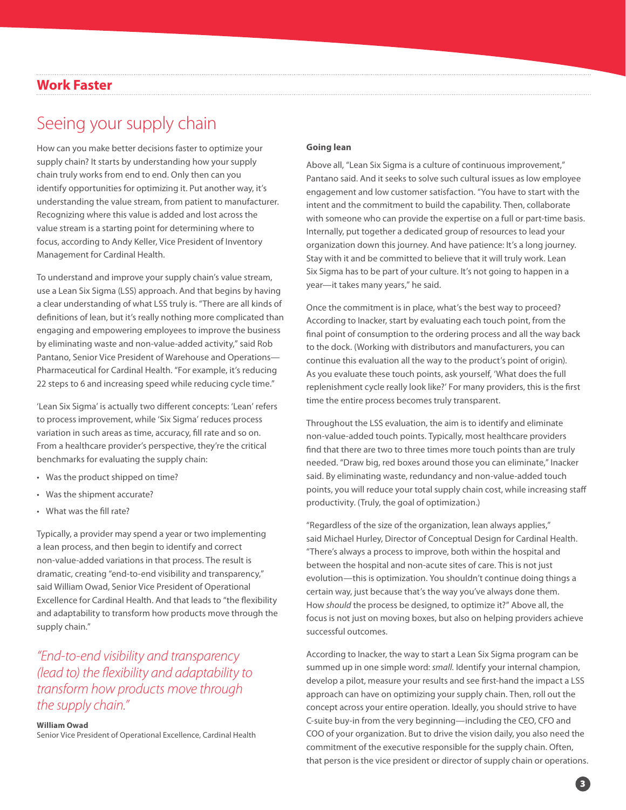#### **Work Faster**

## Seeing your supply chain

How can you make better decisions faster to optimize your supply chain? It starts by understanding how your supply chain truly works from end to end. Only then can you identify opportunities for optimizing it. Put another way, it's understanding the value stream, from patient to manufacturer. Recognizing where this value is added and lost across the value stream is a starting point for determining where to focus, according to Andy Keller, Vice President of Inventory Management for Cardinal Health.

To understand and improve your supply chain's value stream, use a Lean Six Sigma (LSS) approach. And that begins by having a clear understanding of what LSS truly is. "There are all kinds of definitions of lean, but it's really nothing more complicated than engaging and empowering employees to improve the business by eliminating waste and non-value-added activity," said Rob Pantano, Senior Vice President of Warehouse and Operations— Pharmaceutical for Cardinal Health. "For example, it's reducing 22 steps to 6 and increasing speed while reducing cycle time."

'Lean Six Sigma' is actually two different concepts: 'Lean' refers to process improvement, while 'Six Sigma' reduces process variation in such areas as time, accuracy, fill rate and so on. From a healthcare provider's perspective, they're the critical benchmarks for evaluating the supply chain:

- Was the product shipped on time?
- • Was the shipment accurate?
- • What was the fill rate?

Typically, a provider may spend a year or two implementing a lean process, and then begin to identify and correct non-value-added variations in that process. The result is dramatic, creating "end-to-end visibility and transparency," said William Owad, Senior Vice President of Operational Excellence for Cardinal Health. And that leads to "the flexibility and adaptability to transform how products move through the supply chain."

## *"End-to-end visibility and transparency (lead to) the flexibility and adaptability to transform how products move through the supply chain."*

#### **William Owad**

Senior Vice President of Operational Excellence, Cardinal Health

#### **Going lean**

Above all, "Lean Six Sigma is a culture of continuous improvement," Pantano said. And it seeks to solve such cultural issues as low employee engagement and low customer satisfaction. "You have to start with the intent and the commitment to build the capability. Then, collaborate with someone who can provide the expertise on a full or part-time basis. Internally, put together a dedicated group of resources to lead your organization down this journey. And have patience: It's a long journey. Stay with it and be committed to believe that it will truly work. Lean Six Sigma has to be part of your culture. It's not going to happen in a year—it takes many years," he said.

Once the commitment is in place, what's the best way to proceed? According to Inacker, start by evaluating each touch point, from the final point of consumption to the ordering process and all the way back to the dock. (Working with distributors and manufacturers, you can continue this evaluation all the way to the product's point of origin). As you evaluate these touch points, ask yourself, 'What does the full replenishment cycle really look like?' For many providers, this is the first time the entire process becomes truly transparent.

Throughout the LSS evaluation, the aim is to identify and eliminate non-value-added touch points. Typically, most healthcare providers find that there are two to three times more touch points than are truly needed. "Draw big, red boxes around those you can eliminate," Inacker said. By eliminating waste, redundancy and non-value-added touch points, you will reduce your total supply chain cost, while increasing staff productivity. (Truly, the goal of optimization.)

"Regardless of the size of the organization, lean always applies," said Michael Hurley, Director of Conceptual Design for Cardinal Health. "There's always a process to improve, both within the hospital and between the hospital and non-acute sites of care. This is not just evolution—this is optimization. You shouldn't continue doing things a certain way, just because that's the way you've always done them. How *should* the process be designed, to optimize it?" Above all, the focus is not just on moving boxes, but also on helping providers achieve successful outcomes.

According to Inacker, the way to start a Lean Six Sigma program can be summed up in one simple word: *small.* Identify your internal champion, develop a pilot, measure your results and see first-hand the impact a LSS approach can have on optimizing your supply chain. Then, roll out the concept across your entire operation. Ideally, you should strive to have C-suite buy-in from the very beginning—including the CEO, CFO and COO of your organization. But to drive the vision daily, you also need the commitment of the executive responsible for the supply chain. Often, that person is the vice president or director of supply chain or operations.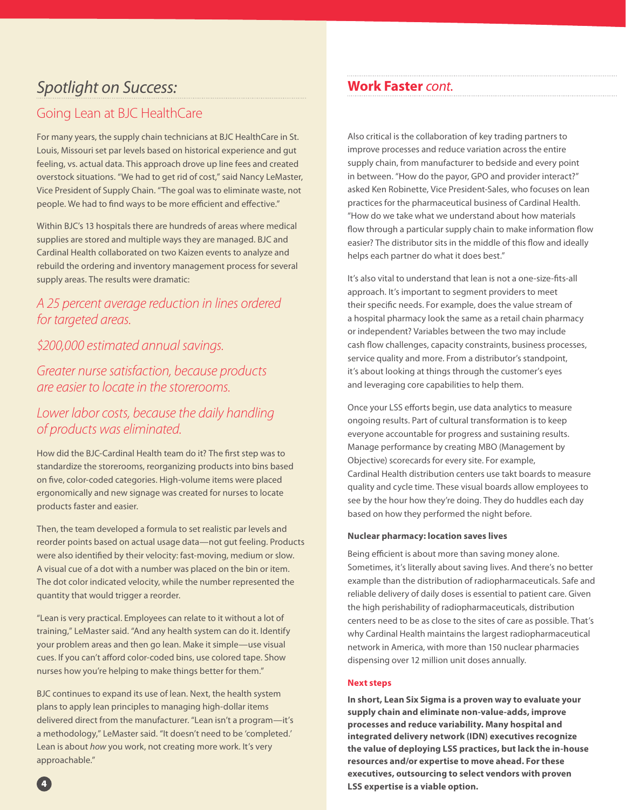## *Spotlight on Success:*

## Going Lean at BJC HealthCare

For many years, the supply chain technicians at BJC HealthCare in St. Louis, Missouri set par levels based on historical experience and gut feeling, vs. actual data. This approach drove up line fees and created overstock situations. "We had to get rid of cost," said Nancy LeMaster, Vice President of Supply Chain. "The goal was to eliminate waste, not people. We had to find ways to be more efficient and effective."

Within BJC's 13 hospitals there are hundreds of areas where medical supplies are stored and multiple ways they are managed. BJC and Cardinal Health collaborated on two Kaizen events to analyze and rebuild the ordering and inventory management process for several supply areas. The results were dramatic:

## *A 25 percent average reduction in lines ordered for targeted areas.*

## *\$200,000 estimated annual savings.*

*Greater nurse satisfaction, because products are easier to locate in the storerooms.*

## *Lower labor costs, because the daily handling of products was eliminated.*

How did the BJC-Cardinal Health team do it? The first step was to standardize the storerooms, reorganizing products into bins based on five, color-coded categories. High-volume items were placed ergonomically and new signage was created for nurses to locate products faster and easier.

Then, the team developed a formula to set realistic par levels and reorder points based on actual usage data—not gut feeling. Products were also identified by their velocity: fast-moving, medium or slow. A visual cue of a dot with a number was placed on the bin or item. The dot color indicated velocity, while the number represented the quantity that would trigger a reorder.

"Lean is very practical. Employees can relate to it without a lot of training," LeMaster said. "And any health system can do it. Identify your problem areas and then go lean. Make it simple—use visual cues. If you can't afford color-coded bins, use colored tape. Show nurses how you're helping to make things better for them."

BJC continues to expand its use of lean. Next, the health system plans to apply lean principles to managing high-dollar items delivered direct from the manufacturer. "Lean isn't a program—it's a methodology," LeMaster said. "It doesn't need to be 'completed.' Lean is about *how* you work, not creating more work. It's very approachable."

## **Work Faster** *cont.*

Also critical is the collaboration of key trading partners to improve processes and reduce variation across the entire supply chain, from manufacturer to bedside and every point in between. "How do the payor, GPO and provider interact?" asked Ken Robinette, Vice President-Sales, who focuses on lean practices for the pharmaceutical business of Cardinal Health. "How do we take what we understand about how materials flow through a particular supply chain to make information flow easier? The distributor sits in the middle of this flow and ideally helps each partner do what it does best."

It's also vital to understand that lean is not a one-size-fits-all approach. It's important to segment providers to meet their specific needs. For example, does the value stream of a hospital pharmacy look the same as a retail chain pharmacy or independent? Variables between the two may include cash flow challenges, capacity constraints, business processes, service quality and more. From a distributor's standpoint, it's about looking at things through the customer's eyes and leveraging core capabilities to help them.

Once your LSS efforts begin, use data analytics to measure ongoing results. Part of cultural transformation is to keep everyone accountable for progress and sustaining results. Manage performance by creating MBO (Management by Objective) scorecards for every site. For example, Cardinal Health distribution centers use takt boards to measure quality and cycle time. These visual boards allow employees to see by the hour how they're doing. They do huddles each day based on how they performed the night before.

#### **Nuclear pharmacy: location saves lives**

Being efficient is about more than saving money alone. Sometimes, it's literally about saving lives. And there's no better example than the distribution of radiopharmaceuticals. Safe and reliable delivery of daily doses is essential to patient care. Given the high perishability of radiopharmaceuticals, distribution centers need to be as close to the sites of care as possible. That's why Cardinal Health maintains the largest radiopharmaceutical network in America, with more than 150 nuclear pharmacies dispensing over 12 million unit doses annually.

#### **Next steps**

**In short, Lean Six Sigma is a proven way to evaluate your supply chain and eliminate non-value-adds, improve processes and reduce variability. Many hospital and integrated delivery network (IDN) executives recognize the value of deploying LSS practices, but lack the in-house resources and/or expertise to move ahead. For these executives, outsourcing to select vendors with proven LSS expertise is a viable option.**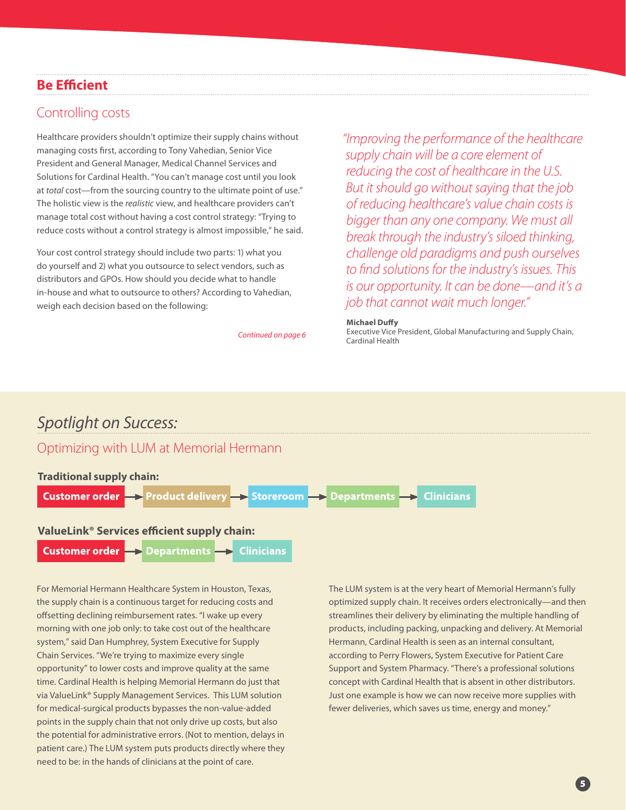## **Be Efficient**

#### Controlling costs

Healthcare providers shouldn't optimize their supply chains without managing costs first, according to Tony Vahedian, Senior Vice President and General Manager, Medical Channel Services and Solutions for Cardinal Health. "You can't manage cost until you look at *total* cost—from the sourcing country to the ultimate point of use." The holistic view is the *realistic* view, and healthcare providers can't manage total cost without having a cost control strategy: "Trying to reduce costs without a control strategy is almost impossible," he said.

Your cost control strategy should include two parts: 1) what you do yourself and 2) what you outsource to select vendors, such as distributors and GPOs. How should you decide what to handle in-house and what to outsource to others? According to Vahedian, weigh each decision based on the following:

Continued on page 6

*"Improving the performance of the healthcare supply chain will be a core element of reducing the cost of healthcare in the U.S. But it should go without saying that the job of reducing healthcare's value chain costs is bigger than any one company. We must all break through the industry's siloed thinking, challenge old paradigms and push ourselves to find solutions for the industry's issues. This is our opportunity. It can be done—and it's a job that cannot wait much longer."*

#### **Michael Duffy**

Executive Vice President, Global Manufacturing and Supply Chain,

## *Spotlight on Success:*

#### Optimizing with LUM at Memorial Hermann

#### **Traditional supply chain:**



**Customer order Clinicians Departments** 

For Memorial Hermann Healthcare System in Houston, Texas, the supply chain is a continuous target for reducing costs and offsetting declining reimbursement rates. "I wake up every morning with one job only: to take cost out of the healthcare system," said Dan Humphrey, System Executive for Supply Chain Services. "We're trying to maximize every single opportunity" to lower costs and improve quality at the same time. Cardinal Health is helping Memorial Hermann do just that via ValueLink® Supply Management Services. This LUM solution for medical-surgical products bypasses the non-value-added points in the supply chain that not only drive up costs, but also the potential for administrative errors. (Not to mention, delays in patient care.) The LUM system puts products directly where they need to be: in the hands of clinicians at the point of care.

The LUM system is at the very heart of Memorial Hermann's fully optimized supply chain. It receives orders electronically—and then streamlines their delivery by eliminating the multiple handling of products, including packing, unpacking and delivery. At Memorial Hermann, Cardinal Health is seen as an internal consultant, according to Perry Flowers, System Executive for Patient Care Support and System Pharmacy. "There's a professional solutions concept with Cardinal Health that is absent in other distributors. Just one example is how we can now receive more supplies with fewer deliveries, which saves us time, energy and money."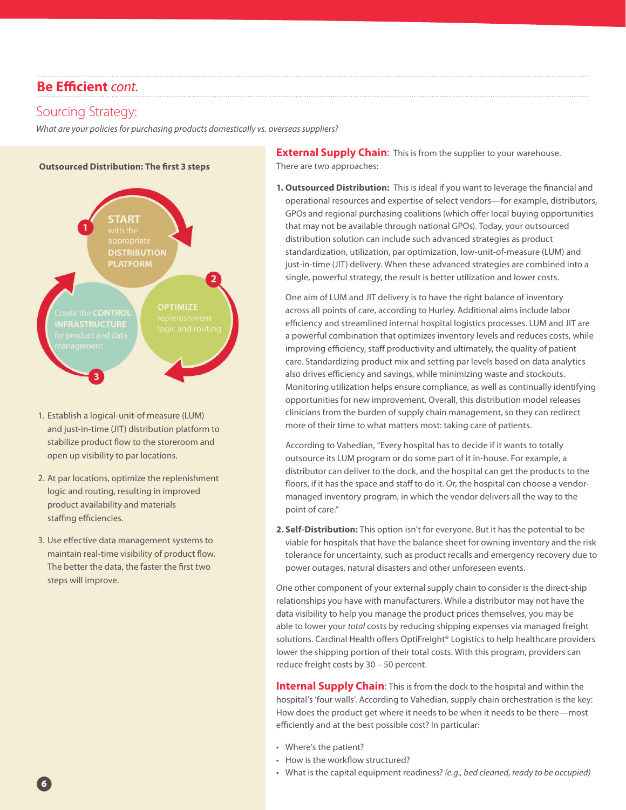### **Be Efficient** *cont.*

#### Sourcing Strategy:

*What are your policies for purchasing products domestically vs. overseas suppliers?*



- 1. Establish a logical-unit-of measure (LUM) and just-in-time (JIT) distribution platform to stabilize product flow to the storeroom and open up visibility to par locations.
- 2. At par locations, optimize the replenishment logic and routing, resulting in improved product availability and materials staffing efficiencies.
- 3. Use effective data management systems to maintain real-time visibility of product flow. The better the data, the faster the first two steps will improve.

**External Supply Chain:** This is from the supplier to your warehouse. There are two approaches:

**1. Outsourced Distribution:** This is ideal if you want to leverage the financial and operational resources and expertise of select vendors—for example, distributors, GPOs and regional purchasing coalitions (which offer local buying opportunities that may not be available through national GPOs). Today, your outsourced distribution solution can include such advanced strategies as product standardization, utilization, par optimization, low-unit-of-measure (LUM) and just-in-time (JIT) delivery. When these advanced strategies are combined into a single, powerful strategy, the result is better utilization and lower costs.

 One aim of LUM and JIT delivery is to have the right balance of inventory across all points of care, according to Hurley. Additional aims include labor efficiency and streamlined internal hospital logistics processes. LUM and JIT are a powerful combination that optimizes inventory levels and reduces costs, while improving efficiency, staff productivity and ultimately, the quality of patient care. Standardizing product mix and setting par levels based on data analytics also drives efficiency and savings, while minimizing waste and stockouts. Monitoring utilization helps ensure compliance, as well as continually identifying opportunities for new improvement. Overall, this distribution model releases clinicians from the burden of supply chain management, so they can redirect more of their time to what matters most: taking care of patients.

 According to Vahedian, "Every hospital has to decide if it wants to totally outsource its LUM program or do some part of it in-house. For example, a distributor can deliver to the dock, and the hospital can get the products to the floors, if it has the space and staff to do it. Or, the hospital can choose a vendormanaged inventory program, in which the vendor delivers all the way to the point of care."

**2. Self-Distribution:** This option isn't for everyone. But it has the potential to be viable for hospitals that have the balance sheet for owning inventory and the risk tolerance for uncertainty, such as product recalls and emergency recovery due to power outages, natural disasters and other unforeseen events.

One other component of your external supply chain to consider is the direct-ship relationships you have with manufacturers. While a distributor may not have the data visibility to help you manage the product prices themselves, you may be able to lower your *total* costs by reducing shipping expenses via managed freight solutions. Cardinal Health offers OptiFreight® Logistics to help healthcare providers lower the shipping portion of their total costs. With this program, providers can reduce freight costs by 30 – 50 percent.

**Internal Supply Chain:** This is from the dock to the hospital and within the hospital's 'four walls'. According to Vahedian, supply chain orchestration is the key: How does the product get where it needs to be when it needs to be there—most efficiently and at the best possible cost? In particular:

- • Where's the patient?
- How is the workflow structured?
- • What is the capital equipment readiness? *(e.g., bed cleaned, ready to be occupied)*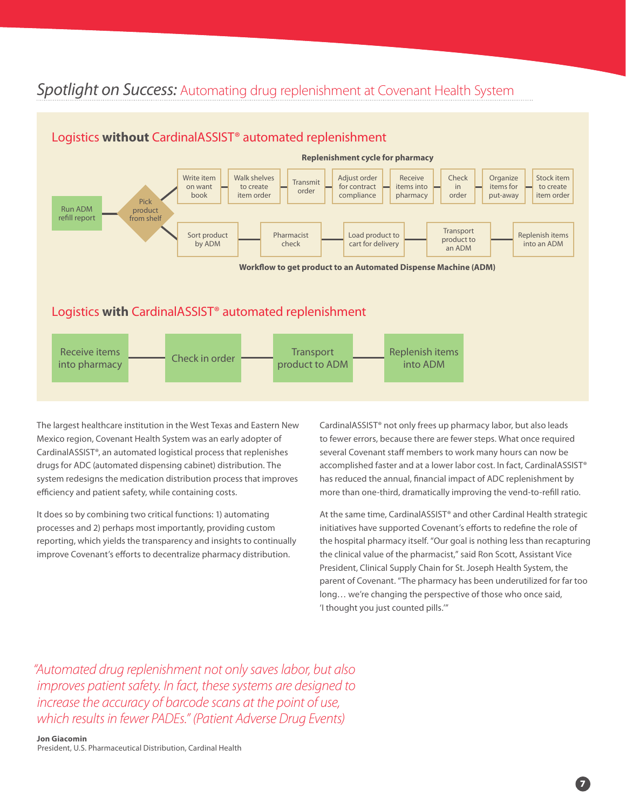## *Spotlight on Success:* Automating drug replenishment at Covenant Health System



The largest healthcare institution in the West Texas and Eastern New Mexico region, Covenant Health System was an early adopter of CardinalASSIST®, an automated logistical process that replenishes drugs for ADC (automated dispensing cabinet) distribution. The system redesigns the medication distribution process that improves efficiency and patient safety, while containing costs.

It does so by combining two critical functions: 1) automating processes and 2) perhaps most importantly, providing custom reporting, which yields the transparency and insights to continually improve Covenant's efforts to decentralize pharmacy distribution.

CardinalASSIST® not only frees up pharmacy labor, but also leads to fewer errors, because there are fewer steps. What once required several Covenant staff members to work many hours can now be accomplished faster and at a lower labor cost. In fact, CardinalASSIST® has reduced the annual, financial impact of ADC replenishment by more than one-third, dramatically improving the vend-to-refill ratio.

At the same time, CardinalASSIST® and other Cardinal Health strategic initiatives have supported Covenant's efforts to redefine the role of the hospital pharmacy itself. "Our goal is nothing less than recapturing the clinical value of the pharmacist," said Ron Scott, Assistant Vice President, Clinical Supply Chain for St. Joseph Health System, the parent of Covenant. "The pharmacy has been underutilized for far too long… we're changing the perspective of those who once said, 'I thought you just counted pills.'"

*"Automated drug replenishment not only saves labor, but also improves patient safety. In fact, these systems are designed to increase the accuracy of barcode scans at the point of use, which results in fewer PADEs." (Patient Adverse Drug Events)*

**Jon Giacomin** President, U.S. Pharmaceutical Distribution, Cardinal Health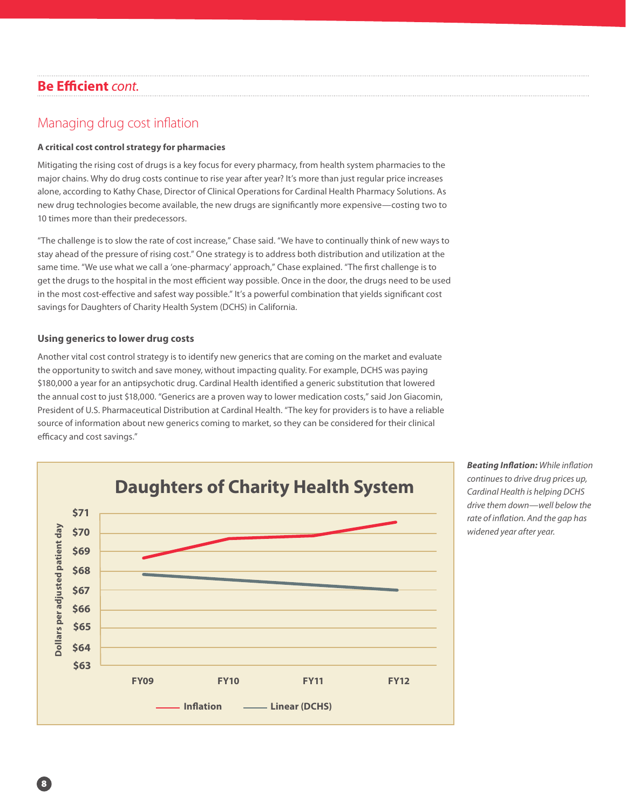## **Be Efficient** *cont.*

## Managing drug cost inflation

#### **A critical cost control strategy for pharmacies**

Mitigating the rising cost of drugs is a key focus for every pharmacy, from health system pharmacies to the major chains. Why do drug costs continue to rise year after year? It's more than just regular price increases alone, according to Kathy Chase, Director of Clinical Operations for Cardinal Health Pharmacy Solutions. As new drug technologies become available, the new drugs are significantly more expensive—costing two to 10 times more than their predecessors.

"The challenge is to slow the rate of cost increase," Chase said. "We have to continually think of new ways to stay ahead of the pressure of rising cost." One strategy is to address both distribution and utilization at the same time. "We use what we call a 'one-pharmacy' approach," Chase explained. "The first challenge is to get the drugs to the hospital in the most efficient way possible. Once in the door, the drugs need to be used in the most cost-effective and safest way possible." It's a powerful combination that yields significant cost savings for Daughters of Charity Health System (DCHS) in California.

#### **Using generics to lower drug costs**

Another vital cost control strategy is to identify new generics that are coming on the market and evaluate the opportunity to switch and save money, without impacting quality. For example, DCHS was paying \$180,000 a year for an antipsychotic drug. Cardinal Health identified a generic substitution that lowered the annual cost to just \$18,000. "Generics are a proven way to lower medication costs," said Jon Giacomin, President of U.S. Pharmaceutical Distribution at Cardinal Health. "The key for providers is to have a reliable source of information about new generics coming to market, so they can be considered for their clinical efficacy and cost savings."



*Beating Inflation: While inflation continues to drive drug prices up, Cardinal Health is helping DCHS drive them down—well below the rate of inflation. And the gap has widened year after year.*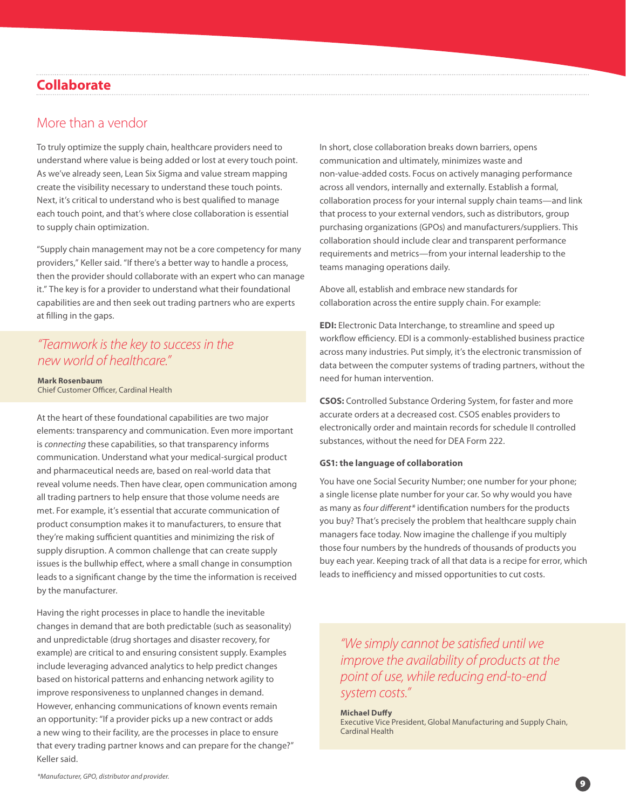## **Collaborate**

#### More than a vendor

To truly optimize the supply chain, healthcare providers need to understand where value is being added or lost at every touch point. As we've already seen, Lean Six Sigma and value stream mapping create the visibility necessary to understand these touch points. Next, it's critical to understand who is best qualified to manage each touch point, and that's where close collaboration is essential to supply chain optimization.

"Supply chain management may not be a core competency for many providers," Keller said. "If there's a better way to handle a process, then the provider should collaborate with an expert who can manage it." The key is for a provider to understand what their foundational capabilities are and then seek out trading partners who are experts at filling in the gaps.

## *"Teamwork is the key to success in the new world of healthcare."*

**Mark Rosenbaum** Chief Customer Officer, Cardinal Health

At the heart of these foundational capabilities are two major elements: transparency and communication. Even more important is *connecting* these capabilities, so that transparency informs communication. Understand what your medical-surgical product and pharmaceutical needs are, based on real-world data that reveal volume needs. Then have clear, open communication among all trading partners to help ensure that those volume needs are met. For example, it's essential that accurate communication of product consumption makes it to manufacturers, to ensure that they're making sufficient quantities and minimizing the risk of supply disruption. A common challenge that can create supply issues is the bullwhip effect, where a small change in consumption leads to a significant change by the time the information is received by the manufacturer.

Having the right processes in place to handle the inevitable changes in demand that are both predictable (such as seasonality) and unpredictable (drug shortages and disaster recovery, for example) are critical to and ensuring consistent supply. Examples include leveraging advanced analytics to help predict changes based on historical patterns and enhancing network agility to improve responsiveness to unplanned changes in demand. However, enhancing communications of known events remain an opportunity: "If a provider picks up a new contract or adds a new wing to their facility, are the processes in place to ensure that every trading partner knows and can prepare for the change?" Keller said.

In short, close collaboration breaks down barriers, opens communication and ultimately, minimizes waste and non-value-added costs. Focus on actively managing performance across all vendors, internally and externally. Establish a formal, collaboration process for your internal supply chain teams—and link that process to your external vendors, such as distributors, group purchasing organizations (GPOs) and manufacturers/suppliers. This collaboration should include clear and transparent performance requirements and metrics—from your internal leadership to the teams managing operations daily.

Above all, establish and embrace new standards for collaboration across the entire supply chain. For example:

**EDI:** Electronic Data Interchange, to streamline and speed up workflow efficiency. EDI is a commonly-established business practice across many industries. Put simply, it's the electronic transmission of data between the computer systems of trading partners, without the need for human intervention.

**CSOS:** Controlled Substance Ordering System, for faster and more accurate orders at a decreased cost. CSOS enables providers to electronically order and maintain records for schedule II controlled substances, without the need for DEA Form 222.

#### **GS1: the language of collaboration**

You have one Social Security Number; one number for your phone; a single license plate number for your car. So why would you have as many as *four different\** identification numbers for the products you buy? That's precisely the problem that healthcare supply chain managers face today. Now imagine the challenge if you multiply those four numbers by the hundreds of thousands of products you buy each year. Keeping track of all that data is a recipe for error, which leads to inefficiency and missed opportunities to cut costs.

*"We simply cannot be satisfied until we improve the availability of products at the point of use, while reducing end-to-end system costs."*

#### **Michael Duffy**

Executive Vice President, Global Manufacturing and Supply Chain, Cardinal Health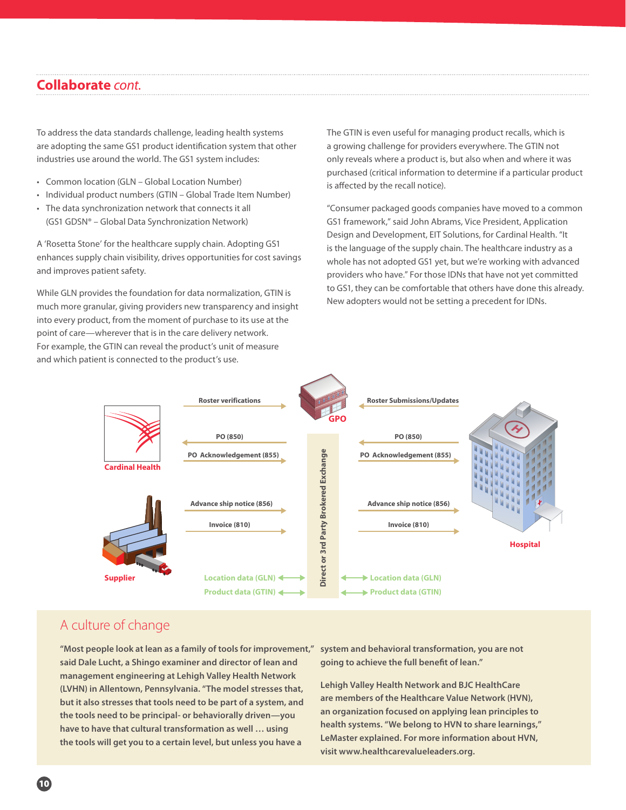#### **Collaborate** *cont.*

To address the data standards challenge, leading health systems are adopting the same GS1 product identification system that other industries use around the world. The GS1 system includes:

- Common location (GLN Global Location Number)
- Individual product numbers (GTIN Global Trade Item Number)
- • The data synchronization network that connects it all (GS1 GDSN® – Global Data Synchronization Network)

A 'Rosetta Stone' for the healthcare supply chain. Adopting GS1 enhances supply chain visibility, drives opportunities for cost savings and improves patient safety.

While GLN provides the foundation for data normalization, GTIN is much more granular, giving providers new transparency and insight into every product, from the moment of purchase to its use at the point of care—wherever that is in the care delivery network. For example, the GTIN can reveal the product's unit of measure and which patient is connected to the product's use.

The GTIN is even useful for managing product recalls, which is a growing challenge for providers everywhere. The GTIN not only reveals where a product is, but also when and where it was purchased (critical information to determine if a particular product is affected by the recall notice).

"Consumer packaged goods companies have moved to a common GS1 framework," said John Abrams, Vice President, Application Design and Development, EIT Solutions, for Cardinal Health. "It is the language of the supply chain. The healthcare industry as a whole has not adopted GS1 yet, but we're working with advanced providers who have." For those IDNs that have not yet committed to GS1, they can be comfortable that others have done this already. New adopters would not be setting a precedent for IDNs.



## A culture of change

**"Most people look at lean as a family of tools for improvement," said Dale Lucht, a Shingo examiner and director of lean and management engineering at Lehigh Valley Health Network (LVHN) in Allentown, Pennsylvania. "The model stresses that, but it also stresses that tools need to be part of a system, and the tools need to be principal- or behaviorally driven—you have to have that cultural transformation as well … using the tools will get you to a certain level, but unless you have a** 

**system and behavioral transformation, you are not going to achieve the full benefit of lean."**

**Lehigh Valley Health Network and BJC HealthCare are members of the Healthcare Value Network (HVN), an organization focused on applying lean principles to health systems. "We belong to HVN to share learnings," LeMaster explained. For more information about HVN, visit www.healthcarevalueleaders.org.**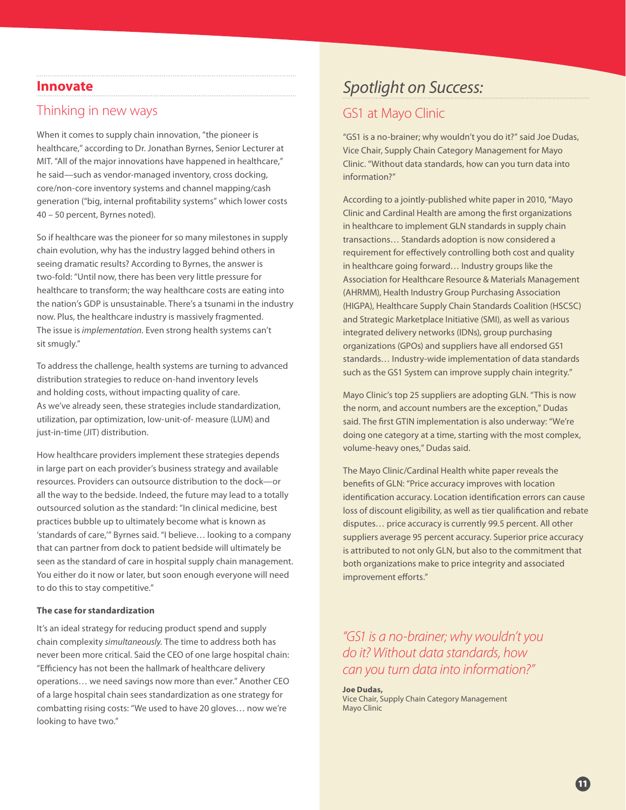#### **Innovate**

## Thinking in new ways

When it comes to supply chain innovation, "the pioneer is healthcare," according to Dr. Jonathan Byrnes, Senior Lecturer at MIT. "All of the major innovations have happened in healthcare," he said—such as vendor-managed inventory, cross docking, core/non-core inventory systems and channel mapping/cash generation ("big, internal profitability systems" which lower costs 40 – 50 percent, Byrnes noted).

So if healthcare was the pioneer for so many milestones in supply chain evolution, why has the industry lagged behind others in seeing dramatic results? According to Byrnes, the answer is two-fold: "Until now, there has been very little pressure for healthcare to transform; the way healthcare costs are eating into the nation's GDP is unsustainable. There's a tsunami in the industry now. Plus, the healthcare industry is massively fragmented. The issue is *implementation.* Even strong health systems can't sit smugly."

To address the challenge, health systems are turning to advanced distribution strategies to reduce on-hand inventory levels and holding costs, without impacting quality of care. As we've already seen, these strategies include standardization, utilization, par optimization, low-unit-of- measure (LUM) and just-in-time (JIT) distribution.

How healthcare providers implement these strategies depends in large part on each provider's business strategy and available resources. Providers can outsource distribution to the dock—or all the way to the bedside. Indeed, the future may lead to a totally outsourced solution as the standard: "In clinical medicine, best practices bubble up to ultimately become what is known as 'standards of care,'" Byrnes said. "I believe… looking to a company that can partner from dock to patient bedside will ultimately be seen as the standard of care in hospital supply chain management. You either do it now or later, but soon enough everyone will need to do this to stay competitive."

#### **The case for standardization**

It's an ideal strategy for reducing product spend and supply chain complexity *simultaneously.* The time to address both has never been more critical. Said the CEO of one large hospital chain: "Efficiency has not been the hallmark of healthcare delivery operations… we need savings now more than ever." Another CEO of a large hospital chain sees standardization as one strategy for combatting rising costs: "We used to have 20 gloves… now we're looking to have two."

## *Spotlight on Success:*

## GS1 at Mayo Clinic

"GS1 is a no-brainer; why wouldn't you do it?" said Joe Dudas, Vice Chair, Supply Chain Category Management for Mayo Clinic. "Without data standards, how can you turn data into information?"

According to a jointly-published white paper in 2010, "Mayo Clinic and Cardinal Health are among the first organizations in healthcare to implement GLN standards in supply chain transactions… Standards adoption is now considered a requirement for effectively controlling both cost and quality in healthcare going forward… Industry groups like the Association for Healthcare Resource & Materials Management (AHRMM), Health Industry Group Purchasing Association (HIGPA), Healthcare Supply Chain Standards Coalition (HSCSC) and Strategic Marketplace Initiative (SMI), as well as various integrated delivery networks (IDNs), group purchasing organizations (GPOs) and suppliers have all endorsed GS1 standards… Industry-wide implementation of data standards such as the GS1 System can improve supply chain integrity."

Mayo Clinic's top 25 suppliers are adopting GLN. "This is now the norm, and account numbers are the exception," Dudas said. The first GTIN implementation is also underway: "We're doing one category at a time, starting with the most complex, volume-heavy ones," Dudas said.

The Mayo Clinic/Cardinal Health white paper reveals the benefits of GLN: "Price accuracy improves with location identification accuracy. Location identification errors can cause loss of discount eligibility, as well as tier qualification and rebate disputes… price accuracy is currently 99.5 percent. All other suppliers average 95 percent accuracy. Superior price accuracy is attributed to not only GLN, but also to the commitment that both organizations make to price integrity and associated improvement efforts."

*"GS1 is a no-brainer; why wouldn't you do it? Without data standards, how can you turn data into information?"*

**Joe Dudas,** Vice Chair, Supply Chain Category Management Mayo Clinic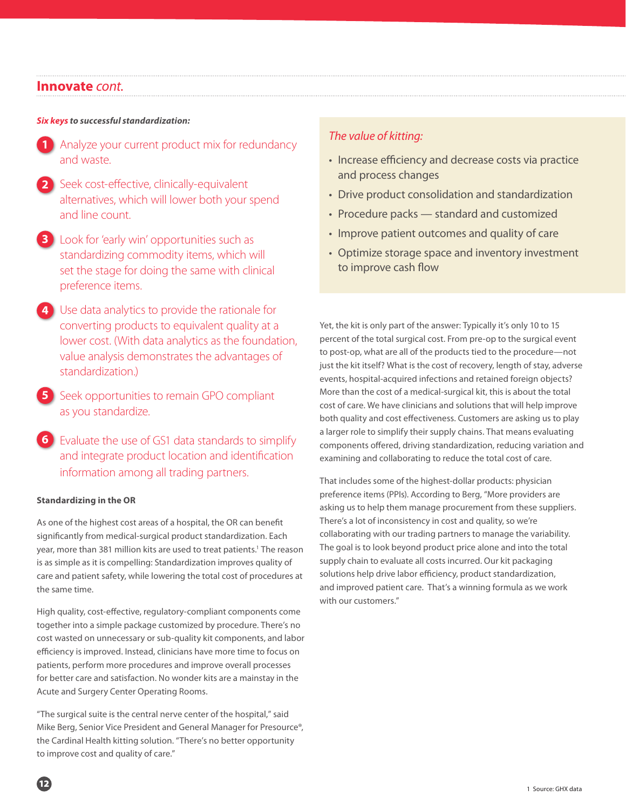#### **Innovate** *cont.*

#### *Six keys to successful standardization:*

- **1** Analyze your current product mix for redundancy and waste.
- 2 Seek cost-effective, clinically-equivalent alternatives, which will lower both your spend and line count.
- Look for 'early win' opportunities such as **3** standardizing commodity items, which will set the stage for doing the same with clinical preference items.
- Use data analytics to provide the rationale for **4** converting products to equivalent quality at a lower cost. (With data analytics as the foundation, value analysis demonstrates the advantages of standardization.)
- Seek opportunities to remain GPO compliant as you standardize. **5**
- Evaluate the use of GS1 data standards to simplify **6**and integrate product location and identification information among all trading partners.

#### **Standardizing in the OR**

As one of the highest cost areas of a hospital, the OR can benefit significantly from medical-surgical product standardization. Each year, more than 381 million kits are used to treat patients.<sup>1</sup> The reason is as simple as it is compelling: Standardization improves quality of care and patient safety, while lowering the total cost of procedures at the same time.

High quality, cost-effective, regulatory-compliant components come together into a simple package customized by procedure. There's no cost wasted on unnecessary or sub-quality kit components, and labor efficiency is improved. Instead, clinicians have more time to focus on patients, perform more procedures and improve overall processes for better care and satisfaction. No wonder kits are a mainstay in the Acute and Surgery Center Operating Rooms.

"The surgical suite is the central nerve center of the hospital," said Mike Berg, Senior Vice President and General Manager for Presource®, the Cardinal Health kitting solution. "There's no better opportunity to improve cost and quality of care."

#### *The value of kitting:*

- Increase efficiency and decrease costs via practice and process changes
- Drive product consolidation and standardization
- Procedure packs standard and customized
- Improve patient outcomes and quality of care
- Optimize storage space and inventory investment to improve cash flow

Yet, the kit is only part of the answer: Typically it's only 10 to 15 percent of the total surgical cost. From pre-op to the surgical event to post-op, what are all of the products tied to the procedure—not just the kit itself? What is the cost of recovery, length of stay, adverse events, hospital-acquired infections and retained foreign objects? More than the cost of a medical-surgical kit, this is about the total cost of care. We have clinicians and solutions that will help improve both quality and cost effectiveness. Customers are asking us to play a larger role to simplify their supply chains. That means evaluating components offered, driving standardization, reducing variation and examining and collaborating to reduce the total cost of care.

That includes some of the highest-dollar products: physician preference items (PPIs). According to Berg, "More providers are asking us to help them manage procurement from these suppliers. There's a lot of inconsistency in cost and quality, so we're collaborating with our trading partners to manage the variability. The goal is to look beyond product price alone and into the total supply chain to evaluate all costs incurred. Our kit packaging solutions help drive labor efficiency, product standardization, and improved patient care. That's a winning formula as we work with our customers."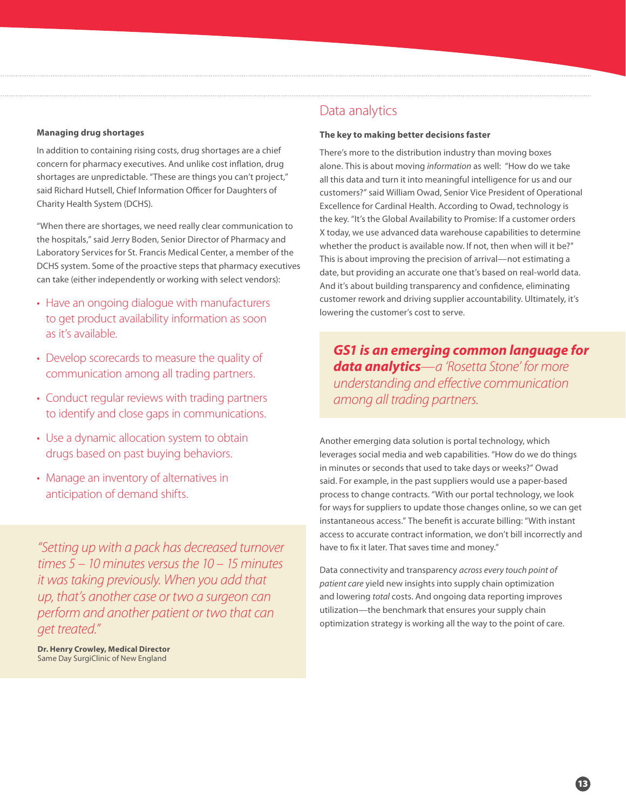#### **Managing drug shortages**

In addition to containing rising costs, drug shortages are a chief concern for pharmacy executives. And unlike cost inflation, drug shortages are unpredictable. "These are things you can't project," said Richard Hutsell, Chief Information Officer for Daughters of Charity Health System (DCHS).

"When there are shortages, we need really clear communication to the hospitals," said Jerry Boden, Senior Director of Pharmacy and Laboratory Services for St. Francis Medical Center, a member of the DCHS system. Some of the proactive steps that pharmacy executives can take (either independently or working with select vendors):

- Have an ongoing dialogue with manufacturers to get product availability information as soon as it's available.
- Develop scorecards to measure the quality of communication among all trading partners.
- Conduct regular reviews with trading partners to identify and close gaps in communications.
- Use a dynamic allocation system to obtain drugs based on past buying behaviors.
- Manage an inventory of alternatives in anticipation of demand shifts.

*"Setting up with a pack has decreased turnover times 5 – 10 minutes versus the 10 – 15 minutes it was taking previously. When you add that up, that's another case or two a surgeon can perform and another patient or two that can get treated."*

**Dr. Henry Crowley, Medical Director** Same Day SurgiClinic of New England

## Data analytics

#### **The key to making better decisions faster**

There's more to the distribution industry than moving boxes alone. This is about moving *information* as well: "How do we take all this data and turn it into meaningful intelligence for us and our customers?" said William Owad, Senior Vice President of Operational Excellence for Cardinal Health. According to Owad, technology is the key. "It's the Global Availability to Promise: If a customer orders X today, we use advanced data warehouse capabilities to determine whether the product is available now. If not, then when will it be?" This is about improving the precision of arrival—not estimating a date, but providing an accurate one that's based on real-world data. And it's about building transparency and confidence, eliminating customer rework and driving supplier accountability. Ultimately, it's lowering the customer's cost to serve.

*GS1 is an emerging common language for data analytics—a 'Rosetta Stone' for more understanding and effective communication among all trading partners.*

Another emerging data solution is portal technology, which leverages social media and web capabilities. "How do we do things in minutes or seconds that used to take days or weeks?" Owad said. For example, in the past suppliers would use a paper-based process to change contracts. "With our portal technology, we look for ways for suppliers to update those changes online, so we can get instantaneous access." The benefit is accurate billing: "With instant access to accurate contract information, we don't bill incorrectly and have to fix it later. That saves time and money."

Data connectivity and transparency *across every touch point of patient care* yield new insights into supply chain optimization and lowering *total* costs. And ongoing data reporting improves utilization—the benchmark that ensures your supply chain optimization strategy is working all the way to the point of care.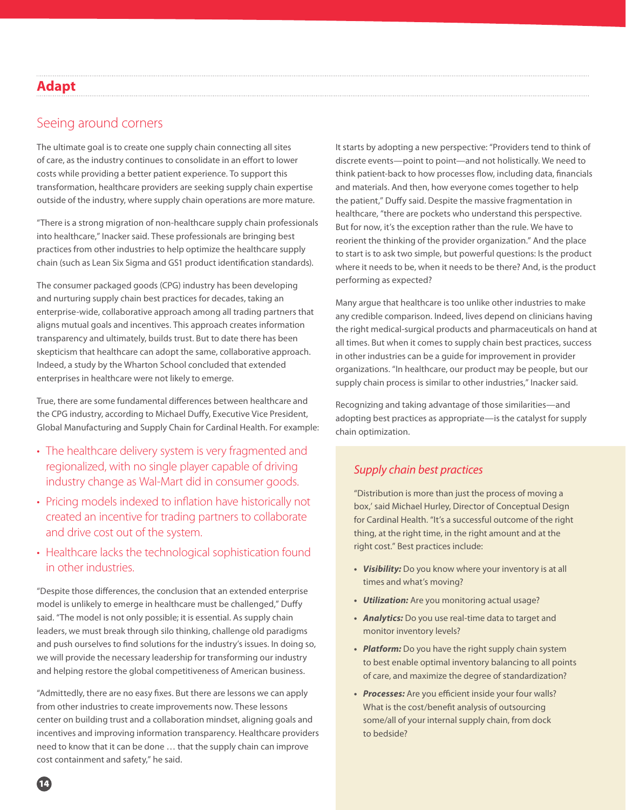## **Adapt**

## Seeing around corners

The ultimate goal is to create one supply chain connecting all sites of care, as the industry continues to consolidate in an effort to lower costs while providing a better patient experience. To support this transformation, healthcare providers are seeking supply chain expertise outside of the industry, where supply chain operations are more mature.

"There is a strong migration of non-healthcare supply chain professionals into healthcare," Inacker said. These professionals are bringing best practices from other industries to help optimize the healthcare supply chain (such as Lean Six Sigma and GS1 product identification standards).

The consumer packaged goods (CPG) industry has been developing and nurturing supply chain best practices for decades, taking an enterprise-wide, collaborative approach among all trading partners that aligns mutual goals and incentives. This approach creates information transparency and ultimately, builds trust. But to date there has been skepticism that healthcare can adopt the same, collaborative approach. Indeed, a study by the Wharton School concluded that extended enterprises in healthcare were not likely to emerge.

True, there are some fundamental differences between healthcare and the CPG industry, according to Michael Duffy, Executive Vice President, Global Manufacturing and Supply Chain for Cardinal Health. For example:

- The healthcare delivery system is very fragmented and regionalized, with no single player capable of driving industry change as Wal-Mart did in consumer goods.
- Pricing models indexed to inflation have historically not created an incentive for trading partners to collaborate and drive cost out of the system.
- Healthcare lacks the technological sophistication found in other industries.

"Despite those differences, the conclusion that an extended enterprise model is unlikely to emerge in healthcare must be challenged," Duffy said. "The model is not only possible; it is essential. As supply chain leaders, we must break through silo thinking, challenge old paradigms and push ourselves to find solutions for the industry's issues. In doing so, we will provide the necessary leadership for transforming our industry and helping restore the global competitiveness of American business.

"Admittedly, there are no easy fixes. But there are lessons we can apply from other industries to create improvements now. These lessons center on building trust and a collaboration mindset, aligning goals and incentives and improving information transparency. Healthcare providers need to know that it can be done … that the supply chain can improve cost containment and safety," he said.

It starts by adopting a new perspective: "Providers tend to think of discrete events—point to point—and not holistically. We need to think patient-back to how processes flow, including data, financials and materials. And then, how everyone comes together to help the patient," Duffy said. Despite the massive fragmentation in healthcare, "there are pockets who understand this perspective. But for now, it's the exception rather than the rule. We have to reorient the thinking of the provider organization." And the place to start is to ask two simple, but powerful questions: Is the product where it needs to be, when it needs to be there? And, is the product performing as expected?

Many argue that healthcare is too unlike other industries to make any credible comparison. Indeed, lives depend on clinicians having the right medical-surgical products and pharmaceuticals on hand at all times. But when it comes to supply chain best practices, success in other industries can be a guide for improvement in provider organizations. "In healthcare, our product may be people, but our supply chain process is similar to other industries," Inacker said.

Recognizing and taking advantage of those similarities—and adopting best practices as appropriate—is the catalyst for supply chain optimization.

#### *Supply chain best practices*

"Distribution is more than just the process of moving a box,' said Michael Hurley, Director of Conceptual Design for Cardinal Health. "It's a successful outcome of the right thing, at the right time, in the right amount and at the right cost." Best practices include:

- **•**  *Visibility:* Do you know where your inventory is at all times and what's moving?
- **•**  *Utilization:* Are you monitoring actual usage?
- **•**  *Analytics:* Do you use real-time data to target and monitor inventory levels?
- **•**  *Platform:* Do you have the right supply chain system to best enable optimal inventory balancing to all points of care, and maximize the degree of standardization?
- **•**  *Processes:* Are you efficient inside your four walls? What is the cost/benefit analysis of outsourcing some/all of your internal supply chain, from dock to bedside?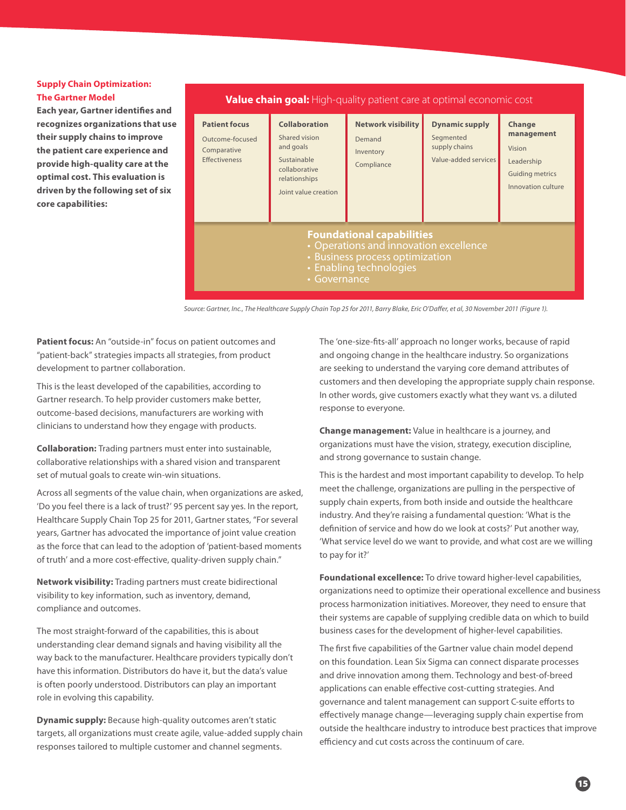#### **Supply Chain Optimization: The Gartner Model**

**Each year, Gartner identifies and recognizes organizations that use their supply chains to improve the patient care experience and provide high-quality care at the optimal cost. This evaluation is driven by the following set of six core capabilities:**

#### **Collaboration** Shared vision and goals Sustainable collaborative relationships Joint value creation **Value chain goal:** High-quality patient care at optimal economic cost **Foundational capabilities** • Operations and innovation excellence • Business process optimization • Enabling technologies • Governance **Dynamic supply** Segmented supply chains Value-added services **Change management** Vision Leadership Guiding metrics Innovation culture **Patient focus** Outcome-focused Comparative Effectiveness **Network visibility** Demand Inventory Compliance

*Source: Gartner, Inc., The Healthcare Supply Chain Top 25 for 2011, Barry Blake, Eric O'Daffer, et al, 30 November 2011 (Figure 1).*

**Patient focus:** An "outside-in" focus on patient outcomes and "patient-back" strategies impacts all strategies, from product development to partner collaboration.

This is the least developed of the capabilities, according to Gartner research. To help provider customers make better, outcome-based decisions, manufacturers are working with clinicians to understand how they engage with products.

**Collaboration:** Trading partners must enter into sustainable, collaborative relationships with a shared vision and transparent set of mutual goals to create win-win situations.

Across all segments of the value chain, when organizations are asked, 'Do you feel there is a lack of trust?' 95 percent say yes. In the report, Healthcare Supply Chain Top 25 for 2011, Gartner states, "For several years, Gartner has advocated the importance of joint value creation as the force that can lead to the adoption of 'patient-based moments of truth' and a more cost-effective, quality-driven supply chain."

**Network visibility:** Trading partners must create bidirectional visibility to key information, such as inventory, demand, compliance and outcomes.

The most straight-forward of the capabilities, this is about understanding clear demand signals and having visibility all the way back to the manufacturer. Healthcare providers typically don't have this information. Distributors do have it, but the data's value is often poorly understood. Distributors can play an important role in evolving this capability.

**Dynamic supply:** Because high-quality outcomes aren't static targets, all organizations must create agile, value-added supply chain responses tailored to multiple customer and channel segments.

The 'one-size-fits-all' approach no longer works, because of rapid and ongoing change in the healthcare industry. So organizations are seeking to understand the varying core demand attributes of customers and then developing the appropriate supply chain response. In other words, give customers exactly what they want vs. a diluted response to everyone.

**Change management:** Value in healthcare is a journey, and organizations must have the vision, strategy, execution discipline, and strong governance to sustain change.

This is the hardest and most important capability to develop. To help meet the challenge, organizations are pulling in the perspective of supply chain experts, from both inside and outside the healthcare industry. And they're raising a fundamental question: 'What is the definition of service and how do we look at costs?' Put another way, 'What service level do we want to provide, and what cost are we willing to pay for it?'

**Foundational excellence:** To drive toward higher-level capabilities, organizations need to optimize their operational excellence and business process harmonization initiatives. Moreover, they need to ensure that their systems are capable of supplying credible data on which to build business cases for the development of higher-level capabilities.

The first five capabilities of the Gartner value chain model depend on this foundation. Lean Six Sigma can connect disparate processes and drive innovation among them. Technology and best-of-breed applications can enable effective cost-cutting strategies. And governance and talent management can support C-suite efforts to effectively manage change—leveraging supply chain expertise from outside the healthcare industry to introduce best practices that improve efficiency and cut costs across the continuum of care.